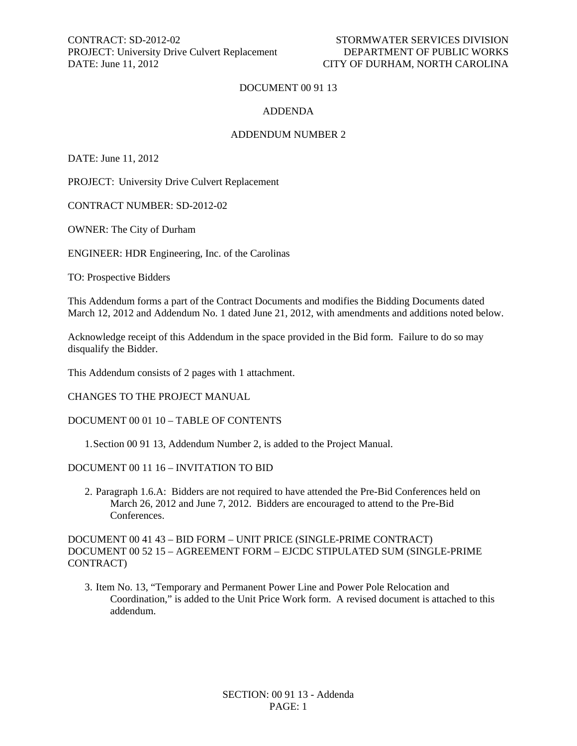CONTRACT: SD-2012-02 STORMWATER SERVICES DIVISION PROJECT: University Drive Culvert Replacement DATE: June 11, 2012 CITY OF DURHAM, NORTH CAROLINA

#### DOCUMENT 00 91 13

#### ADDENDA

#### ADDENDUM NUMBER 2

DATE: June 11, 2012

PROJECT: University Drive Culvert Replacement

CONTRACT NUMBER: SD-2012-02

OWNER: The City of Durham

ENGINEER: HDR Engineering, Inc. of the Carolinas

TO: Prospective Bidders

This Addendum forms a part of the Contract Documents and modifies the Bidding Documents dated March 12, 2012 and Addendum No. 1 dated June 21, 2012, with amendments and additions noted below.

Acknowledge receipt of this Addendum in the space provided in the Bid form. Failure to do so may disqualify the Bidder.

This Addendum consists of 2 pages with 1 attachment.

CHANGES TO THE PROJECT MANUAL

#### DOCUMENT 00 01 10 – TABLE OF CONTENTS

1.Section 00 91 13, Addendum Number 2, is added to the Project Manual.

#### DOCUMENT 00 11 16 – INVITATION TO BID

2. Paragraph 1.6.A: Bidders are not required to have attended the Pre-Bid Conferences held on March 26, 2012 and June 7, 2012. Bidders are encouraged to attend to the Pre-Bid **Conferences** 

DOCUMENT 00 41 43 – BID FORM – UNIT PRICE (SINGLE-PRIME CONTRACT) DOCUMENT 00 52 15 – AGREEMENT FORM – EJCDC STIPULATED SUM (SINGLE-PRIME CONTRACT)

3. Item No. 13, "Temporary and Permanent Power Line and Power Pole Relocation and Coordination," is added to the Unit Price Work form. A revised document is attached to this addendum.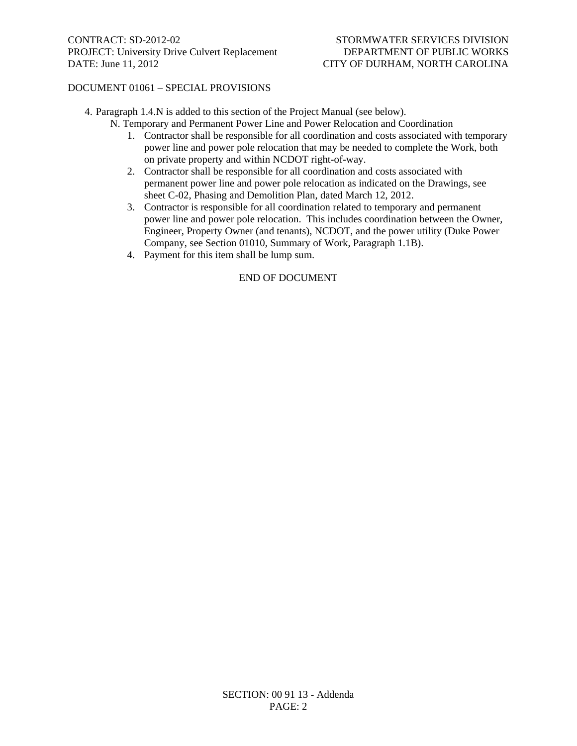### DOCUMENT 01061 – SPECIAL PROVISIONS

4. Paragraph 1.4.N is added to this section of the Project Manual (see below).

- N. Temporary and Permanent Power Line and Power Relocation and Coordination
	- 1. Contractor shall be responsible for all coordination and costs associated with temporary power line and power pole relocation that may be needed to complete the Work, both on private property and within NCDOT right-of-way.
	- 2. Contractor shall be responsible for all coordination and costs associated with permanent power line and power pole relocation as indicated on the Drawings, see sheet C-02, Phasing and Demolition Plan, dated March 12, 2012.
	- 3. Contractor is responsible for all coordination related to temporary and permanent power line and power pole relocation. This includes coordination between the Owner, Engineer, Property Owner (and tenants), NCDOT, and the power utility (Duke Power Company, see Section 01010, Summary of Work, Paragraph 1.1B).
	- 4. Payment for this item shall be lump sum.

### END OF DOCUMENT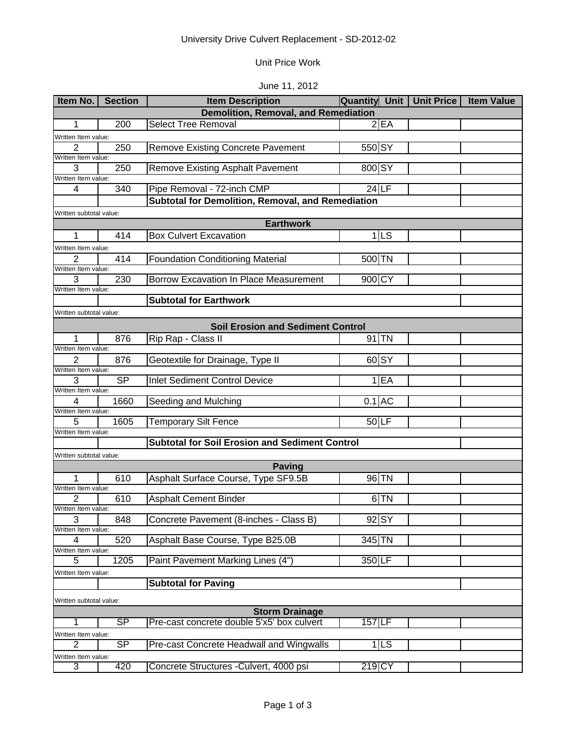# University Drive Culvert Replacement - SD-2012-02

### Unit Price Work

## June 11, 2012

| Item No.                 | <b>Section</b>          | <b>Item Description</b>                               | <b>Quantity Unit  </b> | Unit Price | <b>Item Value</b> |  |  |  |
|--------------------------|-------------------------|-------------------------------------------------------|------------------------|------------|-------------------|--|--|--|
|                          |                         | <b>Demolition, Removal, and Remediation</b>           |                        |            |                   |  |  |  |
| 1                        | 200                     | <b>Select Tree Removal</b>                            | 2EA                    |            |                   |  |  |  |
| Written Item value:      |                         |                                                       |                        |            |                   |  |  |  |
| $\overline{2}$           | 250                     | <b>Remove Existing Concrete Pavement</b>              | 550 SY                 |            |                   |  |  |  |
| Written Item value:      |                         |                                                       |                        |            |                   |  |  |  |
| 3<br>Written Item value: | 250                     | <b>Remove Existing Asphalt Pavement</b>               | 800 SY                 |            |                   |  |  |  |
| 4                        | 340                     | Pipe Removal - 72-inch CMP                            | $24$ LF                |            |                   |  |  |  |
|                          |                         | Subtotal for Demolition, Removal, and Remediation     |                        |            |                   |  |  |  |
|                          | Written subtotal value: |                                                       |                        |            |                   |  |  |  |
|                          |                         | <b>Earthwork</b>                                      |                        |            |                   |  |  |  |
| 1                        | 414                     | <b>Box Culvert Excavation</b>                         | $1$ LS                 |            |                   |  |  |  |
| Written Item value:      |                         |                                                       |                        |            |                   |  |  |  |
| 2                        | 414                     | <b>Foundation Conditioning Material</b>               | 500 TN                 |            |                   |  |  |  |
| Written Item value:      |                         |                                                       |                        |            |                   |  |  |  |
| 3                        | 230                     | <b>Borrow Excavation In Place Measurement</b>         | 900 CY                 |            |                   |  |  |  |
| Written Item value:      |                         | <b>Subtotal for Earthwork</b>                         |                        |            |                   |  |  |  |
| Written subtotal value:  |                         |                                                       |                        |            |                   |  |  |  |
|                          |                         |                                                       |                        |            |                   |  |  |  |
|                          |                         | <b>Soil Erosion and Sediment Control</b>              |                        |            |                   |  |  |  |
| 1<br>Written Item value: | 876                     | Rip Rap - Class II                                    | $91$ TN                |            |                   |  |  |  |
| 2                        | 876                     | Geotextile for Drainage, Type II                      | 60 SY                  |            |                   |  |  |  |
| Written Item value:      |                         |                                                       |                        |            |                   |  |  |  |
| 3                        | <b>SP</b>               | <b>Inlet Sediment Control Device</b>                  | $1$ $EA$               |            |                   |  |  |  |
| Written Item value:      |                         |                                                       |                        |            |                   |  |  |  |
| 4                        | 1660                    | Seeding and Mulching                                  | $0.1$ AC               |            |                   |  |  |  |
| Written Item value:<br>5 | 1605                    | <b>Temporary Silt Fence</b>                           | $50$ LF                |            |                   |  |  |  |
| Written Item value:      |                         |                                                       |                        |            |                   |  |  |  |
|                          |                         | <b>Subtotal for Soil Erosion and Sediment Control</b> |                        |            |                   |  |  |  |
| Written subtotal value:  |                         |                                                       |                        |            |                   |  |  |  |
|                          |                         | <b>Paving</b>                                         |                        |            |                   |  |  |  |
|                          | 610                     | Asphalt Surface Course, Type SF9.5B                   | 96 TN                  |            |                   |  |  |  |
| Written Item value:      |                         |                                                       |                        |            |                   |  |  |  |
| 2<br>Written Item value: | 610                     | <b>Asphalt Cement Binder</b>                          | 6 TN                   |            |                   |  |  |  |
| 3                        | 848                     | Concrete Pavement (8-inches - Class B)                | $92$ $SY$              |            |                   |  |  |  |
| Written Item value:      |                         |                                                       |                        |            |                   |  |  |  |
| 4                        | 520                     | Asphalt Base Course, Type B25.0B                      | 345 TN                 |            |                   |  |  |  |
| Written Item value:      |                         |                                                       |                        |            |                   |  |  |  |
| 5                        | 1205                    | Paint Pavement Marking Lines (4")                     | 350 LF                 |            |                   |  |  |  |
| Written Item value:      |                         |                                                       |                        |            |                   |  |  |  |
|                          |                         | <b>Subtotal for Paving</b>                            |                        |            |                   |  |  |  |
| Written subtotal value:  |                         |                                                       |                        |            |                   |  |  |  |
|                          |                         | <b>Storm Drainage</b>                                 |                        |            |                   |  |  |  |
| 1                        | SP                      | Pre-cast concrete double 5'x5' box culvert            | 157 LF                 |            |                   |  |  |  |
| Written Item value:      |                         |                                                       |                        |            |                   |  |  |  |
| 2                        | SP                      | Pre-cast Concrete Headwall and Wingwalls              | $1$ LS                 |            |                   |  |  |  |
| Written Item value:<br>3 | 420                     | Concrete Structures - Culvert, 4000 psi               | 219 CY                 |            |                   |  |  |  |
|                          |                         |                                                       |                        |            |                   |  |  |  |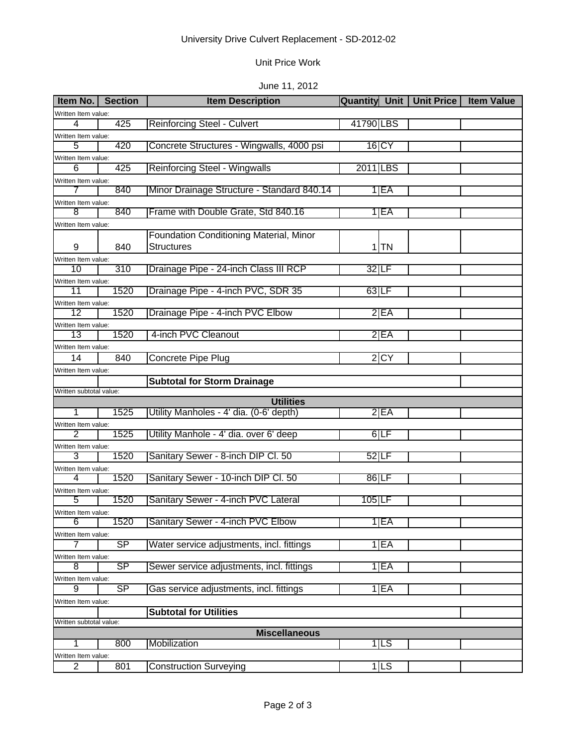# University Drive Culvert Replacement - SD-2012-02

## Unit Price Work

## June 11, 2012

| Item No.   Section                              |           | <b>Item Description</b>                        | <b>Quantity Unit   Unit Price  </b> |  | <b>Item Value</b> |
|-------------------------------------------------|-----------|------------------------------------------------|-------------------------------------|--|-------------------|
| Written Item value:                             |           |                                                |                                     |  |                   |
| 4                                               | 425       | <b>Reinforcing Steel - Culvert</b>             | 41790 LBS                           |  |                   |
| Written Item value:                             |           |                                                |                                     |  |                   |
| 5                                               | 420       | Concrete Structures - Wingwalls, 4000 psi      | 16 CY                               |  |                   |
| Written Item value:                             |           |                                                |                                     |  |                   |
| 6                                               | 425       | <b>Reinforcing Steel - Wingwalls</b>           | 2011 LBS                            |  |                   |
| Written Item value:                             |           |                                                |                                     |  |                   |
|                                                 | 840       | Minor Drainage Structure - Standard 840.14     | 1 <sub>EA</sub>                     |  |                   |
| Written Item value:<br>8                        | 840       |                                                |                                     |  |                   |
|                                                 |           | Frame with Double Grate, Std 840.16            | 1 EA                                |  |                   |
| Written Item value:                             |           | <b>Foundation Conditioning Material, Minor</b> |                                     |  |                   |
| 9                                               | 840       | <b>Structures</b>                              | $1$ TN                              |  |                   |
|                                                 |           |                                                |                                     |  |                   |
| Written Item value:<br>10                       | 310       | Drainage Pipe - 24-inch Class III RCP          | $32$ LF                             |  |                   |
| Written Item value:                             |           |                                                |                                     |  |                   |
| 11                                              | 1520      | Drainage Pipe - 4-inch PVC, SDR 35             | $63$ LF                             |  |                   |
| Written Item value:                             |           |                                                |                                     |  |                   |
| 12                                              | 1520      | Drainage Pipe - 4-inch PVC Elbow               | 2E                                  |  |                   |
| Written Item value:                             |           |                                                |                                     |  |                   |
| 13                                              | 1520      | 4-inch PVC Cleanout                            | 2EA                                 |  |                   |
| Written Item value:                             |           |                                                |                                     |  |                   |
| 14                                              | 840       | Concrete Pipe Plug                             | 2 CY                                |  |                   |
| Written Item value:                             |           |                                                |                                     |  |                   |
|                                                 |           | <b>Subtotal for Storm Drainage</b>             |                                     |  |                   |
| Written subtotal value:                         |           |                                                |                                     |  |                   |
|                                                 |           | <b>Utilities</b>                               |                                     |  |                   |
| 1                                               | 1525      | Utility Manholes - 4' dia. (0-6' depth)        | 2E                                  |  |                   |
| Written Item value:<br>2                        | 1525      | Utility Manhole - 4' dia. over 6' deep         | 6LF                                 |  |                   |
| Written Item value:                             |           |                                                |                                     |  |                   |
| 3                                               | 1520      | Sanitary Sewer - 8-inch DIP CI. 50             | 52 LF                               |  |                   |
| Written Item value:                             |           |                                                |                                     |  |                   |
| 4                                               | 1520      | Sanitary Sewer - 10-inch DIP Cl. 50            | $86$ LF                             |  |                   |
| Written Item value:                             |           |                                                |                                     |  |                   |
| 5                                               | 1520      | Sanitary Sewer - 4-inch PVC Lateral            | $105$ LF                            |  |                   |
| Written Item value:                             |           |                                                |                                     |  |                   |
| 6                                               | 1520      | Sanitary Sewer - 4-inch PVC Elbow              | 1 EA                                |  |                   |
| Written Item value:                             |           |                                                |                                     |  |                   |
| 7                                               | SP        | Water service adjustments, incl. fittings      | $1$ $FA$                            |  |                   |
| Written Item value:                             |           |                                                |                                     |  |                   |
| 8                                               | <b>SP</b> | Sewer service adjustments, incl. fittings      | 1 <sub>EA</sub>                     |  |                   |
| Written Item value:                             |           |                                                |                                     |  |                   |
| 9                                               | SP        | Gas service adjustments, incl. fittings        | 1 EA                                |  |                   |
| Written Item value:                             |           |                                                |                                     |  |                   |
|                                                 |           | <b>Subtotal for Utilities</b>                  |                                     |  |                   |
| Written subtotal value:<br><b>Miscellaneous</b> |           |                                                |                                     |  |                   |
|                                                 | 800       | Mobilization                                   | 1 LS                                |  |                   |
| Written Item value:                             |           |                                                |                                     |  |                   |
| $\overline{2}$                                  | 801       | <b>Construction Surveying</b>                  | 1 LS                                |  |                   |
|                                                 |           |                                                |                                     |  |                   |